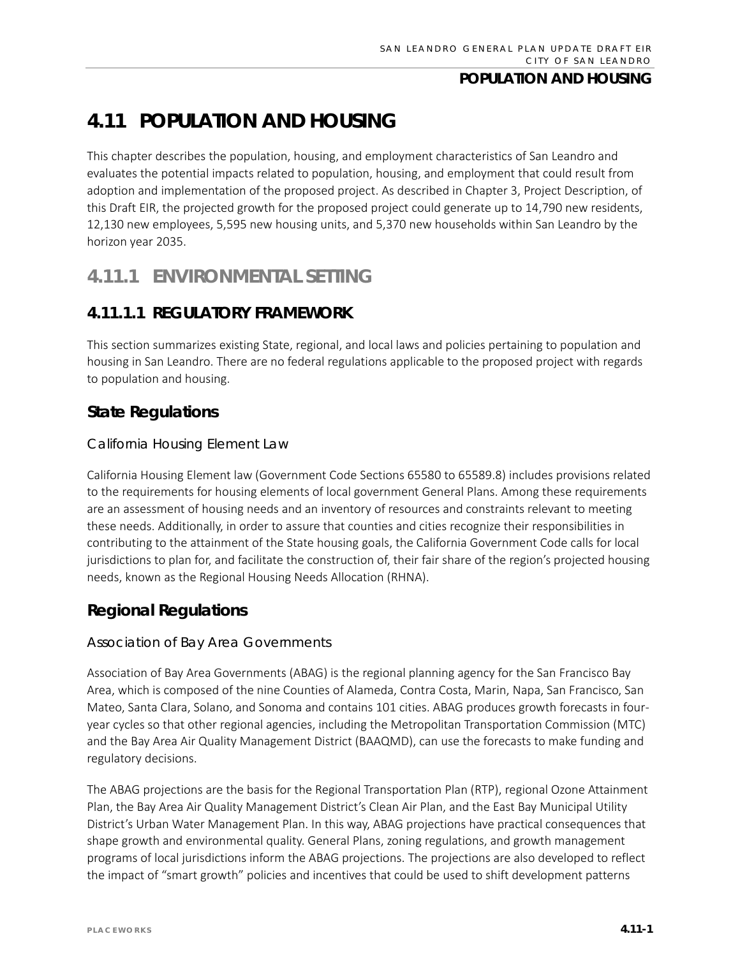# **4.11 POPULATION AND HOUSING**

This chapter describes the population, housing, and employment characteristics of San Leandro and evaluates the potential impacts related to population, housing, and employment that could result from adoption and implementation of the proposed project. As described in Chapter 3, Project Description, of this Draft EIR, the projected growth for the proposed project could generate up to 14,790 new residents, 12,130 new employees, 5,595 new housing units, and 5,370 new households within San Leandro by the horizon year 2035.

# **4.11.1 ENVIRONMENTAL SETTING**

# **4.11.1.1 REGULATORY FRAMEWORK**

This section summarizes existing State, regional, and local laws and policies pertaining to population and housing in San Leandro. There are no federal regulations applicable to the proposed project with regards to population and housing.

# **State Regulations**

### *California Housing Element Law*

California Housing Element law (Government Code Sections 65580 to 65589.8) includes provisions related to the requirements for housing elements of local government General Plans. Among these requirements are an assessment of housing needs and an inventory of resources and constraints relevant to meeting these needs. Additionally, in order to assure that counties and cities recognize their responsibilities in contributing to the attainment of the State housing goals, the California Government Code calls for local jurisdictions to plan for, and facilitate the construction of, their fair share of the region's projected housing needs, known as the Regional Housing Needs Allocation (RHNA).

# **Regional Regulations**

### *Association of Bay Area Governments*

Association of Bay Area Governments (ABAG) is the regional planning agency for the San Francisco Bay Area, which is composed of the nine Counties of Alameda, Contra Costa, Marin, Napa, San Francisco, San Mateo, Santa Clara, Solano, and Sonoma and contains 101 cities. ABAG produces growth forecasts in fouryear cycles so that other regional agencies, including the Metropolitan Transportation Commission (MTC) and the Bay Area Air Quality Management District (BAAQMD), can use the forecasts to make funding and regulatory decisions.

The ABAG projections are the basis for the Regional Transportation Plan (RTP), regional Ozone Attainment Plan, the Bay Area Air Quality Management District's Clean Air Plan, and the East Bay Municipal Utility District's Urban Water Management Plan. In this way, ABAG projections have practical consequences that shape growth and environmental quality. General Plans, zoning regulations, and growth management programs of local jurisdictions inform the ABAG projections. The projections are also developed to reflect the impact of "smart growth" policies and incentives that could be used to shift development patterns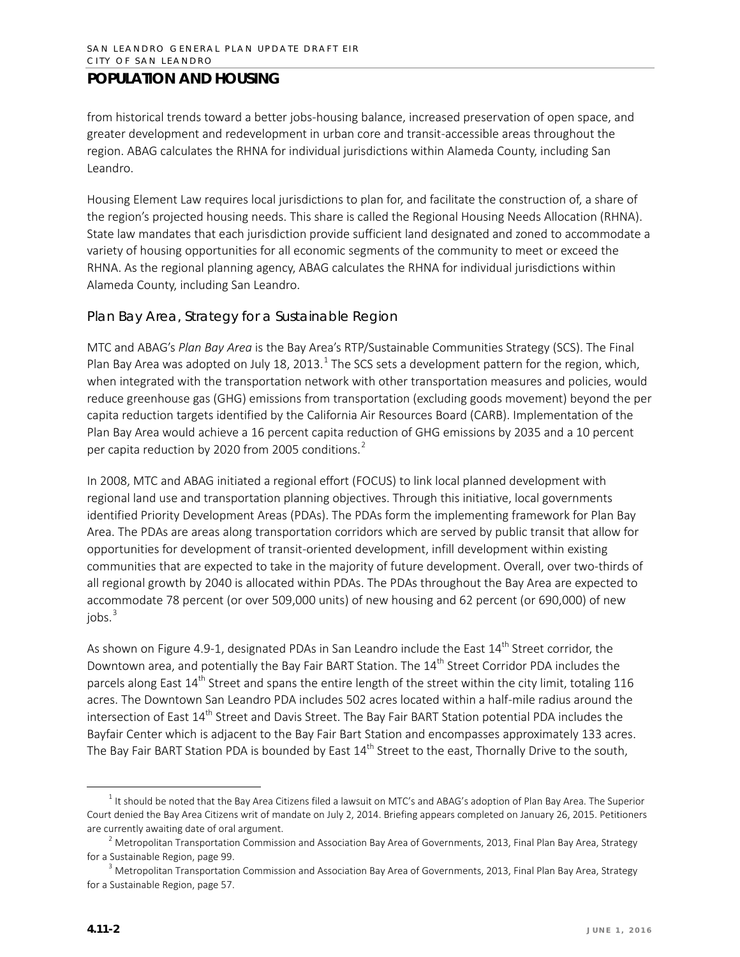from historical trends toward a better jobs-housing balance, increased preservation of open space, and greater development and redevelopment in urban core and transit-accessible areas throughout the region. ABAG calculates the RHNA for individual jurisdictions within Alameda County, including San Leandro.

Housing Element Law requires local jurisdictions to plan for, and facilitate the construction of, a share of the region's projected housing needs. This share is called the Regional Housing Needs Allocation (RHNA). State law mandates that each jurisdiction provide sufficient land designated and zoned to accommodate a variety of housing opportunities for all economic segments of the community to meet or exceed the RHNA. As the regional planning agency, ABAG calculates the RHNA for individual jurisdictions within Alameda County, including San Leandro.

### *Plan Bay Area, Strategy for a Sustainable Region*

MTC and ABAG's *Plan Bay Area* is the Bay Area's RTP/Sustainable Communities Strategy (SCS). The Final Plan Bay Area was adopted on July [1](#page-1-0)8, 2013. $^1$  The SCS sets a development pattern for the region, which, when integrated with the transportation network with other transportation measures and policies, would reduce greenhouse gas (GHG) emissions from transportation (excluding goods movement) beyond the per capita reduction targets identified by the California Air Resources Board (CARB). Implementation of the Plan Bay Area would achieve a 16 percent capita reduction of GHG emissions by 2035 and a 10 percent per capita reduction by [2](#page-1-1)020 from 2005 conditions.<sup>2</sup>

In 2008, MTC and ABAG initiated a regional effort (FOCUS) to link local planned development with regional land use and transportation planning objectives. Through this initiative, local governments identified Priority Development Areas (PDAs). The PDAs form the implementing framework for Plan Bay Area. The PDAs are areas along transportation corridors which are served by public transit that allow for opportunities for development of transit-oriented development, infill development within existing communities that are expected to take in the majority of future development. Overall, over two-thirds of all regional growth by 2040 is allocated within PDAs. The PDAs throughout the Bay Area are expected to accommodate 78 percent (or over 509,000 units) of new housing and 62 percent (or 690,000) of new  $i$ obs. $3$ 

As shown on Figure 4.9-1, designated PDAs in San Leandro include the East 14<sup>th</sup> Street corridor, the Downtown area, and potentially the Bay Fair BART Station. The 14<sup>th</sup> Street Corridor PDA includes the parcels along East 14<sup>th</sup> Street and spans the entire length of the street within the city limit, totaling 116 acres. The Downtown San Leandro PDA includes 502 acres located within a half-mile radius around the intersection of East 14<sup>th</sup> Street and Davis Street. The Bay Fair BART Station potential PDA includes the Bayfair Center which is adjacent to the Bay Fair Bart Station and encompasses approximately 133 acres. The Bay Fair BART Station PDA is bounded by East  $14<sup>th</sup>$  Street to the east, Thornally Drive to the south,

<span id="page-1-0"></span> $1$  It should be noted that the Bay Area Citizens filed a lawsuit on MTC's and ABAG's adoption of Plan Bay Area. The Superior Court denied the Bay Area Citizens writ of mandate on July 2, 2014. Briefing appears completed on January 26, 2015. Petitioners are currently awaiting date of oral argument.

<span id="page-1-1"></span><sup>&</sup>lt;sup>2</sup> Metropolitan Transportation Commission and Association Bay Area of Governments, 2013, Final Plan Bay Area, Strategy for a Sustainable Region, page 99.

<span id="page-1-2"></span><sup>&</sup>lt;sup>3</sup> Metropolitan Transportation Commission and Association Bay Area of Governments, 2013, Final Plan Bay Area, Strategy for a Sustainable Region, page 57.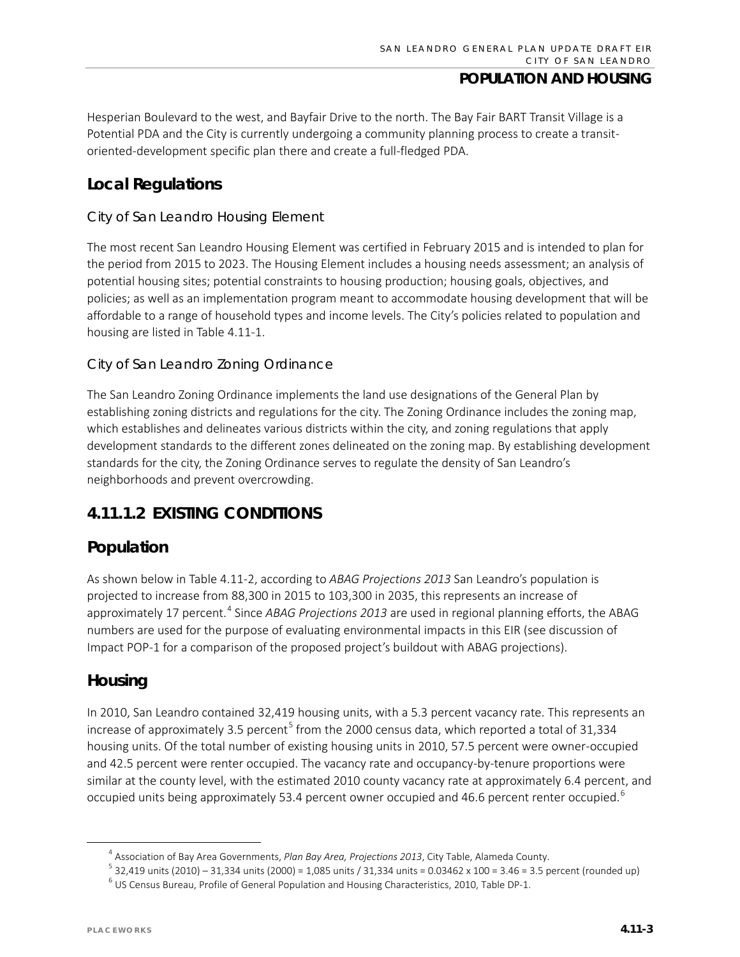Hesperian Boulevard to the west, and Bayfair Drive to the north. The Bay Fair BART Transit Village is a Potential PDA and the City is currently undergoing a community planning process to create a transitoriented-development specific plan there and create a full-fledged PDA.

# **Local Regulations**

### *City of San Leandro Housing Element*

The most recent San Leandro Housing Element was certified in February 2015 and is intended to plan for the period from 2015 to 2023. The Housing Element includes a housing needs assessment; an analysis of potential housing sites; potential constraints to housing production; housing goals, objectives, and policies; as well as an implementation program meant to accommodate housing development that will be affordable to a range of household types and income levels. The City's policies related to population and housing are listed in Table 4.11-1.

### *City of San Leandro Zoning Ordinance*

The San Leandro Zoning Ordinance implements the land use designations of the General Plan by establishing zoning districts and regulations for the city. The Zoning Ordinance includes the zoning map, which establishes and delineates various districts within the city, and zoning regulations that apply development standards to the different zones delineated on the zoning map. By establishing development standards for the city, the Zoning Ordinance serves to regulate the density of San Leandro's neighborhoods and prevent overcrowding.

# **4.11.1.2 EXISTING CONDITIONS**

## **Population**

As shown below in Table 4.11-2, according to *ABAG Projections 2013* San Leandro's population is projected to increase from 88,300 in 2015 to 103,300 in 2035, this represents an increase of approximately 17 percent.<sup>[4](#page-2-0)</sup> Since *ABAG Projections 2013* are used in regional planning efforts, the ABAG numbers are used for the purpose of evaluating environmental impacts in this EIR (see discussion of Impact POP-1 for a comparison of the proposed project's buildout with ABAG projections).

# **Housing**

In 2010, San Leandro contained 32,419 housing units, with a 5.3 percent vacancy rate. This represents an increase of approximately 3.[5](#page-2-1) percent<sup>5</sup> from the 2000 census data, which reported a total of 31,334 housing units. Of the total number of existing housing units in 2010, 57.5 percent were owner-occupied and 42.5 percent were renter occupied. The vacancy rate and occupancy-by-tenure proportions were similar at the county level, with the estimated 2010 county vacancy rate at approximately 6.4 percent, and occupied units being approximately 53.4 percent owner occupied and 4[6](#page-2-2).6 percent renter occupied.<sup>6</sup>

 <sup>4</sup> Association of Bay Area Governments, *Plan Bay Area, Projections 2013*, City Table, Alameda County.

<span id="page-2-2"></span><span id="page-2-1"></span><span id="page-2-0"></span> $5$  32,419 units (2010) – 31,334 units (2000) = 1,085 units / 31,334 units = 0.03462 x 100 = 3.46 = 3.5 percent (rounded up)  $^6$  US Census Bureau, Profile of General Population and Housing Characteristics, 2010, Table DP-1.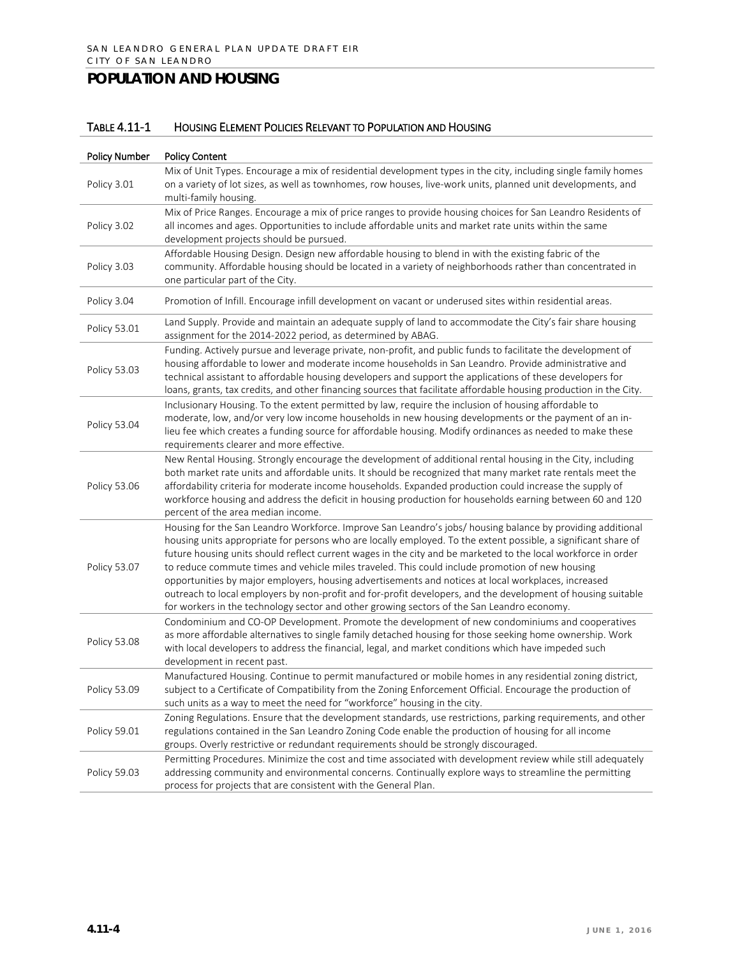### TABLE 4.11-1 HOUSING ELEMENT POLICIES RELEVANT TO POPULATION AND HOUSING

| <b>Policy Number</b> | <b>Policy Content</b>                                                                                                                                                                                                                                                                                                                                                                                                                                                                                                                                                                                                                                                                                                                                                 |  |  |  |
|----------------------|-----------------------------------------------------------------------------------------------------------------------------------------------------------------------------------------------------------------------------------------------------------------------------------------------------------------------------------------------------------------------------------------------------------------------------------------------------------------------------------------------------------------------------------------------------------------------------------------------------------------------------------------------------------------------------------------------------------------------------------------------------------------------|--|--|--|
| Policy 3.01          | Mix of Unit Types. Encourage a mix of residential development types in the city, including single family homes<br>on a variety of lot sizes, as well as townhomes, row houses, live-work units, planned unit developments, and<br>multi-family housing.                                                                                                                                                                                                                                                                                                                                                                                                                                                                                                               |  |  |  |
| Policy 3.02          | Mix of Price Ranges. Encourage a mix of price ranges to provide housing choices for San Leandro Residents of<br>all incomes and ages. Opportunities to include affordable units and market rate units within the same<br>development projects should be pursued.                                                                                                                                                                                                                                                                                                                                                                                                                                                                                                      |  |  |  |
| Policy 3.03          | Affordable Housing Design. Design new affordable housing to blend in with the existing fabric of the<br>community. Affordable housing should be located in a variety of neighborhoods rather than concentrated in<br>one particular part of the City.                                                                                                                                                                                                                                                                                                                                                                                                                                                                                                                 |  |  |  |
| Policy 3.04          | Promotion of Infill. Encourage infill development on vacant or underused sites within residential areas.                                                                                                                                                                                                                                                                                                                                                                                                                                                                                                                                                                                                                                                              |  |  |  |
| Policy 53.01         | Land Supply. Provide and maintain an adequate supply of land to accommodate the City's fair share housing<br>assignment for the 2014-2022 period, as determined by ABAG.                                                                                                                                                                                                                                                                                                                                                                                                                                                                                                                                                                                              |  |  |  |
| Policy 53.03         | Funding. Actively pursue and leverage private, non-profit, and public funds to facilitate the development of<br>housing affordable to lower and moderate income households in San Leandro. Provide administrative and<br>technical assistant to affordable housing developers and support the applications of these developers for<br>loans, grants, tax credits, and other financing sources that facilitate affordable housing production in the City.                                                                                                                                                                                                                                                                                                              |  |  |  |
| Policy 53.04         | Inclusionary Housing. To the extent permitted by law, require the inclusion of housing affordable to<br>moderate, low, and/or very low income households in new housing developments or the payment of an in-<br>lieu fee which creates a funding source for affordable housing. Modify ordinances as needed to make these<br>requirements clearer and more effective.                                                                                                                                                                                                                                                                                                                                                                                                |  |  |  |
| Policy 53.06         | New Rental Housing. Strongly encourage the development of additional rental housing in the City, including<br>both market rate units and affordable units. It should be recognized that many market rate rentals meet the<br>affordability criteria for moderate income households. Expanded production could increase the supply of<br>workforce housing and address the deficit in housing production for households earning between 60 and 120<br>percent of the area median income.                                                                                                                                                                                                                                                                               |  |  |  |
| Policy 53.07         | Housing for the San Leandro Workforce. Improve San Leandro's jobs/ housing balance by providing additional<br>housing units appropriate for persons who are locally employed. To the extent possible, a significant share of<br>future housing units should reflect current wages in the city and be marketed to the local workforce in order<br>to reduce commute times and vehicle miles traveled. This could include promotion of new housing<br>opportunities by major employers, housing advertisements and notices at local workplaces, increased<br>outreach to local employers by non-profit and for-profit developers, and the development of housing suitable<br>for workers in the technology sector and other growing sectors of the San Leandro economy. |  |  |  |
| Policy 53.08         | Condominium and CO-OP Development. Promote the development of new condominiums and cooperatives<br>as more affordable alternatives to single family detached housing for those seeking home ownership. Work<br>with local developers to address the financial, legal, and market conditions which have impeded such<br>development in recent past.                                                                                                                                                                                                                                                                                                                                                                                                                    |  |  |  |
| Policy 53.09         | Manufactured Housing. Continue to permit manufactured or mobile homes in any residential zoning district,<br>subject to a Certificate of Compatibility from the Zoning Enforcement Official. Encourage the production of<br>such units as a way to meet the need for "workforce" housing in the city.                                                                                                                                                                                                                                                                                                                                                                                                                                                                 |  |  |  |
| Policy 59.01         | Zoning Regulations. Ensure that the development standards, use restrictions, parking requirements, and other<br>regulations contained in the San Leandro Zoning Code enable the production of housing for all income<br>groups. Overly restrictive or redundant requirements should be strongly discouraged.                                                                                                                                                                                                                                                                                                                                                                                                                                                          |  |  |  |
| Policy 59.03         | Permitting Procedures. Minimize the cost and time associated with development review while still adequately<br>addressing community and environmental concerns. Continually explore ways to streamline the permitting<br>process for projects that are consistent with the General Plan.                                                                                                                                                                                                                                                                                                                                                                                                                                                                              |  |  |  |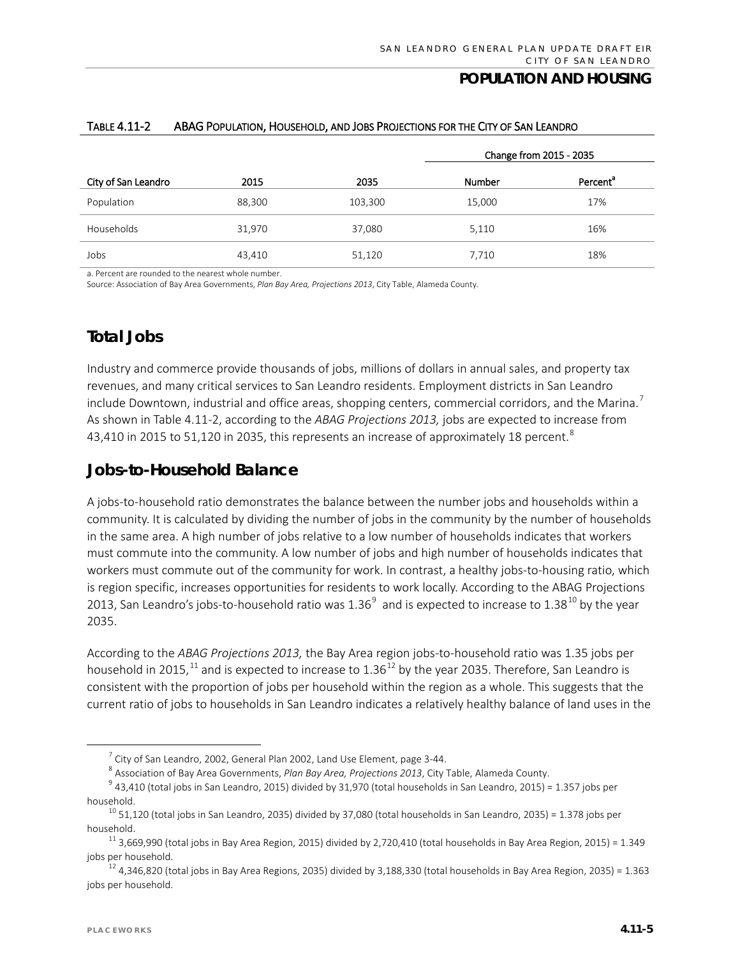|                     |        |         | Change from 2015 - 2035 |                      |
|---------------------|--------|---------|-------------------------|----------------------|
| City of San Leandro | 2015   | 2035    | Number                  | Percent <sup>a</sup> |
| Population          | 88,300 | 103,300 | 15,000                  | 17%                  |
| Households          | 31,970 | 37,080  | 5,110                   | 16%                  |
| Jobs                | 43,410 | 51,120  | 7,710                   | 18%                  |

#### TABLE 4.11-2 ABAG POPULATION, HOUSEHOLD, AND JOBS PROJECTIONS FOR THE CITY OF SAN LEANDRO

a. Percent are rounded to the nearest whole number.

Source: Association of Bay Area Governments, *Plan Bay Area, Projections 2013*, City Table, Alameda County.

# **Total Jobs**

Industry and commerce provide thousands of jobs, millions of dollars in annual sales, and property tax revenues, and many critical services to San Leandro residents. Employment districts in San Leandro include Downtown, industrial and office areas, shopping centers, commercial corridors, and the Marina.<sup>[7](#page-4-0)</sup> As shown in Table 4.11-2, according to the *ABAG Projections 2013,* jobs are expected to increase from 43,410 in 2015 to 51,120 in 2035, this represents an increase of approximately 1[8](#page-4-1) percent. $^{\rm 8}$ 

## **Jobs-to-Household Balance**

A jobs-to-household ratio demonstrates the balance between the number jobs and households within a community. It is calculated by dividing the number of jobs in the community by the number of households in the same area. A high number of jobs relative to a low number of households indicates that workers must commute into the community. A low number of jobs and high number of households indicates that workers must commute out of the community for work. In contrast, a healthy jobs-to-housing ratio, which is region specific, increases opportunities for residents to work locally. According to the ABAG Projections 2013, San Leandro's jobs-to-household ratio was  $1.36<sup>9</sup>$  $1.36<sup>9</sup>$  $1.36<sup>9</sup>$  and is expected to increase to 1.38<sup>[10](#page-4-3)</sup> by the year 2035.

According to the *ABAG Projections 2013,* the Bay Area region jobs-to-household ratio was 1.35 jobs per household in 2015,<sup>[11](#page-4-4)</sup> and is expected to increase to 1.36<sup>[12](#page-4-5)</sup> by the year 2035. Therefore, San Leandro is consistent with the proportion of jobs per household within the region as a whole. This suggests that the current ratio of jobs to households in San Leandro indicates a relatively healthy balance of land uses in the

<sup>8</sup> Association of Bay Area Governments, *Plan Bay Area, Projections 2013*, City Table, Alameda County.

 $7$  City of San Leandro, 2002, General Plan 2002, Land Use Element, page 3-44.

 $9$  43.410 (total iobs in San Leandro, 2015) divided by 31,970 (total households in San Leandro, 2015) = 1.357 jobs per

<span id="page-4-3"></span><span id="page-4-2"></span><span id="page-4-1"></span><span id="page-4-0"></span>household.<br><sup>10</sup> 51,120 (total jobs in San Leandro, 2035) divided by 37,080 (total households in San Leandro, 2035) = 1.378 jobs per

<span id="page-4-4"></span>household.<br><sup>11</sup> 3,669,990 (total jobs in Bay Area Region, 2015) divided by 2,720,410 (total households in Bay Area Region, 2015) = 1.349 jobs per household.<br><sup>12</sup> 4,346,820 (total jobs in Bay Area Regions, 2035) divided by 3,188,330 (total households in Bay Area Region, 2035) = 1.363

<span id="page-4-5"></span>jobs per household.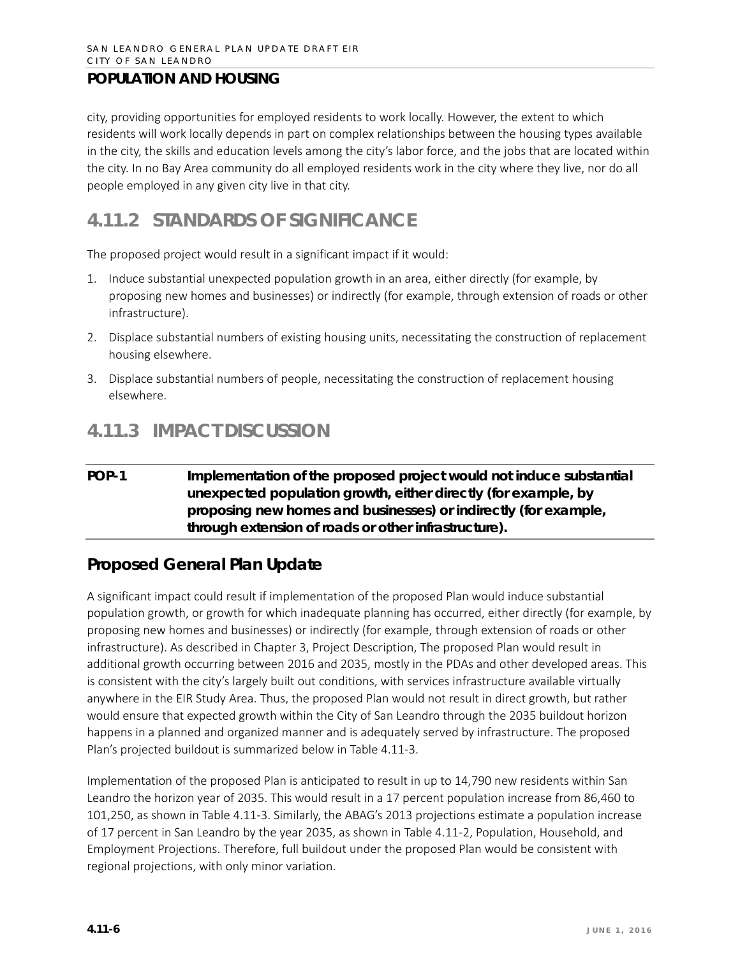city, providing opportunities for employed residents to work locally. However, the extent to which residents will work locally depends in part on complex relationships between the housing types available in the city, the skills and education levels among the city's labor force, and the jobs that are located within the city. In no Bay Area community do all employed residents work in the city where they live, nor do all people employed in any given city live in that city.

# **4.11.2 STANDARDS OF SIGNIFICANCE**

The proposed project would result in a significant impact if it would:

- 1. Induce substantial unexpected population growth in an area, either directly (for example, by proposing new homes and businesses) or indirectly (for example, through extension of roads or other infrastructure).
- 2. Displace substantial numbers of existing housing units, necessitating the construction of replacement housing elsewhere.
- 3. Displace substantial numbers of people, necessitating the construction of replacement housing elsewhere.

# **4.11.3 IMPACT DISCUSSION**

### **POP-1 Implementation of the proposed project would not induce substantial unexpected population growth, either directly (for example, by proposing new homes and businesses) or indirectly (for example, through extension of roads or other infrastructure).**

# **Proposed General Plan Update**

A significant impact could result if implementation of the proposed Plan would induce substantial population growth, or growth for which inadequate planning has occurred, either directly (for example, by proposing new homes and businesses) or indirectly (for example, through extension of roads or other infrastructure). As described in Chapter 3, Project Description, The proposed Plan would result in additional growth occurring between 2016 and 2035, mostly in the PDAs and other developed areas. This is consistent with the city's largely built out conditions, with services infrastructure available virtually anywhere in the EIR Study Area. Thus, the proposed Plan would not result in direct growth, but rather would ensure that expected growth within the City of San Leandro through the 2035 buildout horizon happens in a planned and organized manner and is adequately served by infrastructure. The proposed Plan's projected buildout is summarized below in Table 4.11-3.

Implementation of the proposed Plan is anticipated to result in up to 14,790 new residents within San Leandro the horizon year of 2035. This would result in a 17 percent population increase from 86,460 to 101,250, as shown in Table 4.11-3. Similarly, the ABAG's 2013 projections estimate a population increase of 17 percent in San Leandro by the year 2035, as shown in Table 4.11-2, Population, Household, and Employment Projections. Therefore, full buildout under the proposed Plan would be consistent with regional projections, with only minor variation.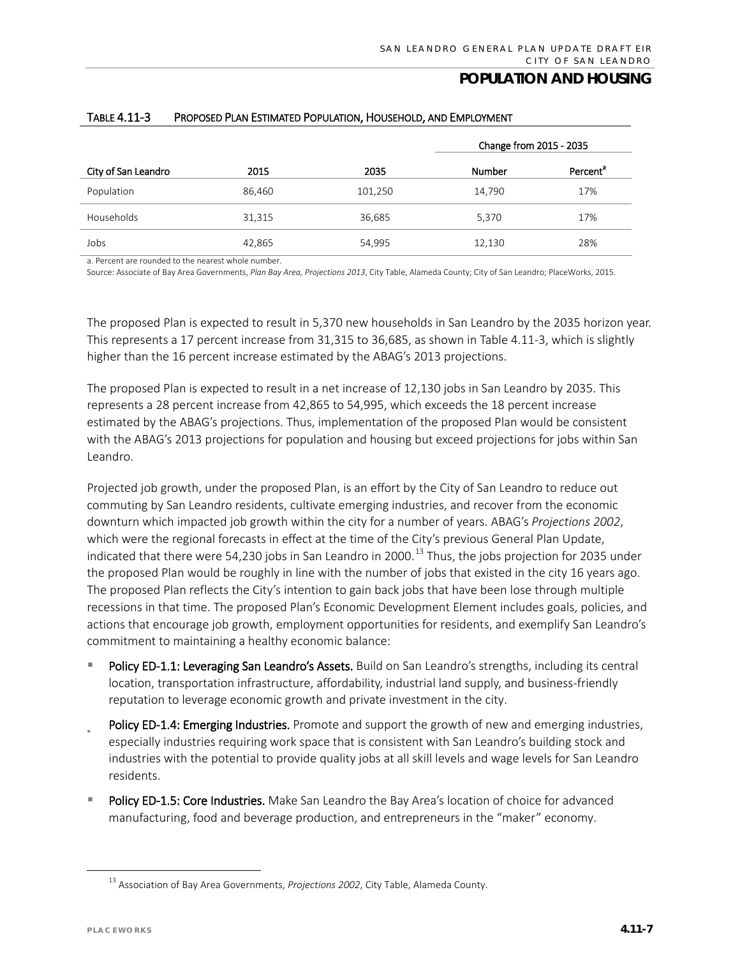|                     |        |         | Change from 2015 - 2035 |                      |
|---------------------|--------|---------|-------------------------|----------------------|
| City of San Leandro | 2015   | 2035    | <b>Number</b>           | Percent <sup>a</sup> |
| Population          | 86,460 | 101,250 | 14,790                  | 17%                  |
| Households          | 31,315 | 36,685  | 5,370                   | 17%                  |
| Jobs                | 42,865 | 54,995  | 12,130                  | 28%                  |

#### TABLE 4.11-3 PROPOSED PLAN ESTIMATED POPULATION, HOUSEHOLD, AND EMPLOYMENT

a. Percent are rounded to the nearest whole number.

Source: Associate of Bay Area Governments, *Plan Bay Area, Projections 2013*, City Table, Alameda County; City of San Leandro; PlaceWorks, 2015.

The proposed Plan is expected to result in 5,370 new households in San Leandro by the 2035 horizon year. This represents a 17 percent increase from 31,315 to 36,685, as shown in Table 4.11-3, which is slightly higher than the 16 percent increase estimated by the ABAG's 2013 projections.

The proposed Plan is expected to result in a net increase of 12,130 jobs in San Leandro by 2035. This represents a 28 percent increase from 42,865 to 54,995, which exceeds the 18 percent increase estimated by the ABAG's projections. Thus, implementation of the proposed Plan would be consistent with the ABAG's 2013 projections for population and housing but exceed projections for jobs within San Leandro.

Projected job growth, under the proposed Plan, is an effort by the City of San Leandro to reduce out commuting by San Leandro residents, cultivate emerging industries, and recover from the economic downturn which impacted job growth within the city for a number of years. ABAG's *Projections 2002*, which were the regional forecasts in effect at the time of the City's previous General Plan Update, indicated that there were 54,230 jobs in San Leandro in 2000.<sup>[13](#page-6-0)</sup> Thus, the jobs projection for 2035 under the proposed Plan would be roughly in line with the number of jobs that existed in the city 16 years ago. The proposed Plan reflects the City's intention to gain back jobs that have been lose through multiple recessions in that time. The proposed Plan's Economic Development Element includes goals, policies, and actions that encourage job growth, employment opportunities for residents, and exemplify San Leandro's commitment to maintaining a healthy economic balance:

- Policy ED-1.1: Leveraging San Leandro's Assets. Build on San Leandro's strengths, including its central location, transportation infrastructure, affordability, industrial land supply, and business-friendly reputation to leverage economic growth and private investment in the city.
- Policy ED-1.4: Emerging Industries. Promote and support the growth of new and emerging industries, especially industries requiring work space that is consistent with San Leandro's building stock and industries with the potential to provide quality jobs at all skill levels and wage levels for San Leandro residents.
- Policy ED-1.5: Core Industries. Make San Leandro the Bay Area's location of choice for advanced manufacturing, food and beverage production, and entrepreneurs in the "maker" economy.

<span id="page-6-0"></span> <sup>13</sup> Association of Bay Area Governments, *Projections 2002*, City Table, Alameda County.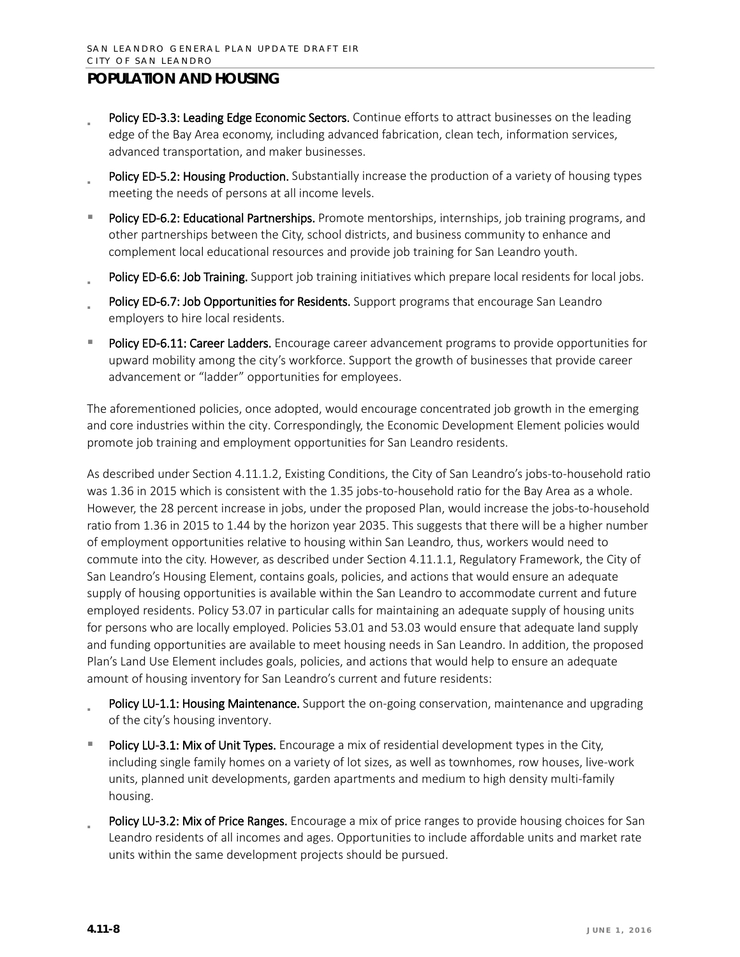- Policy ED-3.3: Leading Edge Economic Sectors. Continue efforts to attract businesses on the leading edge of the Bay Area economy, including advanced fabrication, clean tech, information services, advanced transportation, and maker businesses.
- Policy ED-5.2: Housing Production. Substantially increase the production of a variety of housing types meeting the needs of persons at all income levels.
- Policy ED-6.2: Educational Partnerships. Promote mentorships, internships, job training programs, and other partnerships between the City, school districts, and business community to enhance and complement local educational resources and provide job training for San Leandro youth.
- Policy ED-6.6: Job Training. Support job training initiatives which prepare local residents for local jobs.
- Policy ED-6.7: Job Opportunities for Residents. Support programs that encourage San Leandro employers to hire local residents.
- Policy ED-6.11: Career Ladders. Encourage career advancement programs to provide opportunities for upward mobility among the city's workforce. Support the growth of businesses that provide career advancement or "ladder" opportunities for employees.

The aforementioned policies, once adopted, would encourage concentrated job growth in the emerging and core industries within the city. Correspondingly, the Economic Development Element policies would promote job training and employment opportunities for San Leandro residents.

As described under Section 4.11.1.2, Existing Conditions, the City of San Leandro's jobs-to-household ratio was 1.36 in 2015 which is consistent with the 1.35 jobs-to-household ratio for the Bay Area as a whole. However, the 28 percent increase in jobs, under the proposed Plan, would increase the jobs-to-household ratio from 1.36 in 2015 to 1.44 by the horizon year 2035. This suggests that there will be a higher number of employment opportunities relative to housing within San Leandro, thus, workers would need to commute into the city. However, as described under Section 4.11.1.1, Regulatory Framework, the City of San Leandro's Housing Element, contains goals, policies, and actions that would ensure an adequate supply of housing opportunities is available within the San Leandro to accommodate current and future employed residents. Policy 53.07 in particular calls for maintaining an adequate supply of housing units for persons who are locally employed. Policies 53.01 and 53.03 would ensure that adequate land supply and funding opportunities are available to meet housing needs in San Leandro. In addition, the proposed Plan's Land Use Element includes goals, policies, and actions that would help to ensure an adequate amount of housing inventory for San Leandro's current and future residents:

- Policy LU-1.1: Housing Maintenance. Support the on-going conservation, maintenance and upgrading of the city's housing inventory.
- Policy LU-3.1: Mix of Unit Types. Encourage a mix of residential development types in the City, including single family homes on a variety of lot sizes, as well as townhomes, row houses, live-work units, planned unit developments, garden apartments and medium to high density multi-family housing.
- Policy LU-3.2: Mix of Price Ranges. Encourage a mix of price ranges to provide housing choices for San Leandro residents of all incomes and ages. Opportunities to include affordable units and market rate units within the same development projects should be pursued.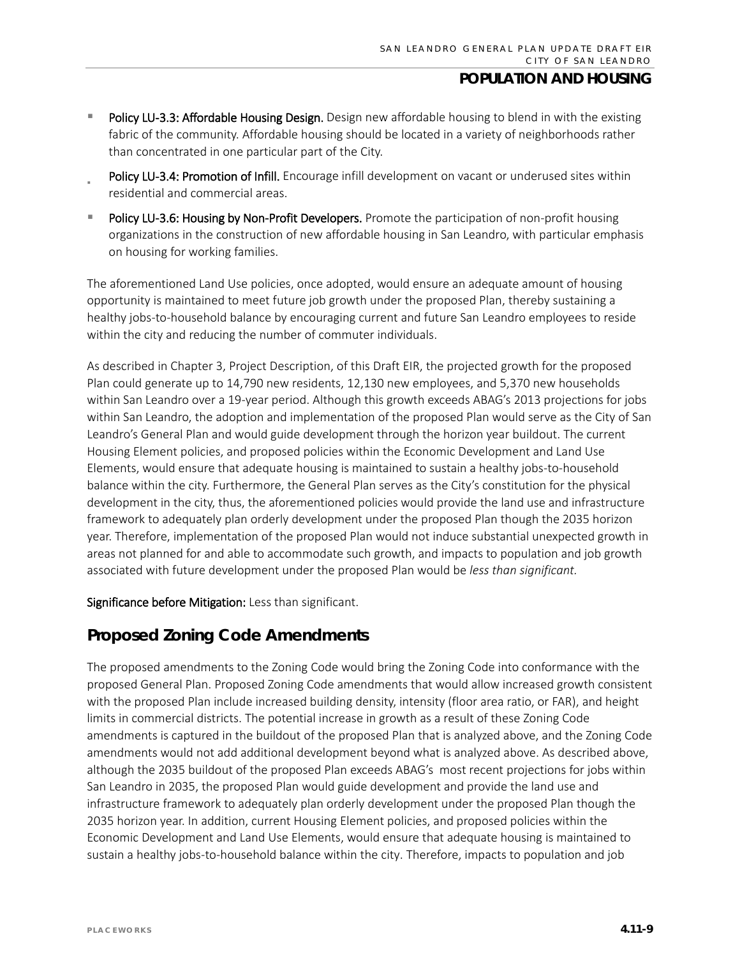- Policy LU-3.3: Affordable Housing Design. Design new affordable housing to blend in with the existing fabric of the community. Affordable housing should be located in a variety of neighborhoods rather than concentrated in one particular part of the City.
- Policy LU-3.4: Promotion of Infill. Encourage infill development on vacant or underused sites within residential and commercial areas.
- Policy LU-3.6: Housing by Non-Profit Developers. Promote the participation of non-profit housing organizations in the construction of new affordable housing in San Leandro, with particular emphasis on housing for working families.

The aforementioned Land Use policies, once adopted, would ensure an adequate amount of housing opportunity is maintained to meet future job growth under the proposed Plan, thereby sustaining a healthy jobs-to-household balance by encouraging current and future San Leandro employees to reside within the city and reducing the number of commuter individuals.

As described in Chapter 3, Project Description, of this Draft EIR, the projected growth for the proposed Plan could generate up to 14,790 new residents, 12,130 new employees, and 5,370 new households within San Leandro over a 19-year period. Although this growth exceeds ABAG's 2013 projections for jobs within San Leandro, the adoption and implementation of the proposed Plan would serve as the City of San Leandro's General Plan and would guide development through the horizon year buildout. The current Housing Element policies, and proposed policies within the Economic Development and Land Use Elements, would ensure that adequate housing is maintained to sustain a healthy jobs-to-household balance within the city. Furthermore, the General Plan serves as the City's constitution for the physical development in the city, thus, the aforementioned policies would provide the land use and infrastructure framework to adequately plan orderly development under the proposed Plan though the 2035 horizon year. Therefore, implementation of the proposed Plan would not induce substantial unexpected growth in areas not planned for and able to accommodate such growth, and impacts to population and job growth associated with future development under the proposed Plan would be *less than significant.* 

Significance before Mitigation: Less than significant.

# **Proposed Zoning Code Amendments**

The proposed amendments to the Zoning Code would bring the Zoning Code into conformance with the proposed General Plan. Proposed Zoning Code amendments that would allow increased growth consistent with the proposed Plan include increased building density, intensity (floor area ratio, or FAR), and height limits in commercial districts. The potential increase in growth as a result of these Zoning Code amendments is captured in the buildout of the proposed Plan that is analyzed above, and the Zoning Code amendments would not add additional development beyond what is analyzed above. As described above, although the 2035 buildout of the proposed Plan exceeds ABAG's most recent projections for jobs within San Leandro in 2035, the proposed Plan would guide development and provide the land use and infrastructure framework to adequately plan orderly development under the proposed Plan though the 2035 horizon year. In addition, current Housing Element policies, and proposed policies within the Economic Development and Land Use Elements, would ensure that adequate housing is maintained to sustain a healthy jobs-to-household balance within the city. Therefore, impacts to population and job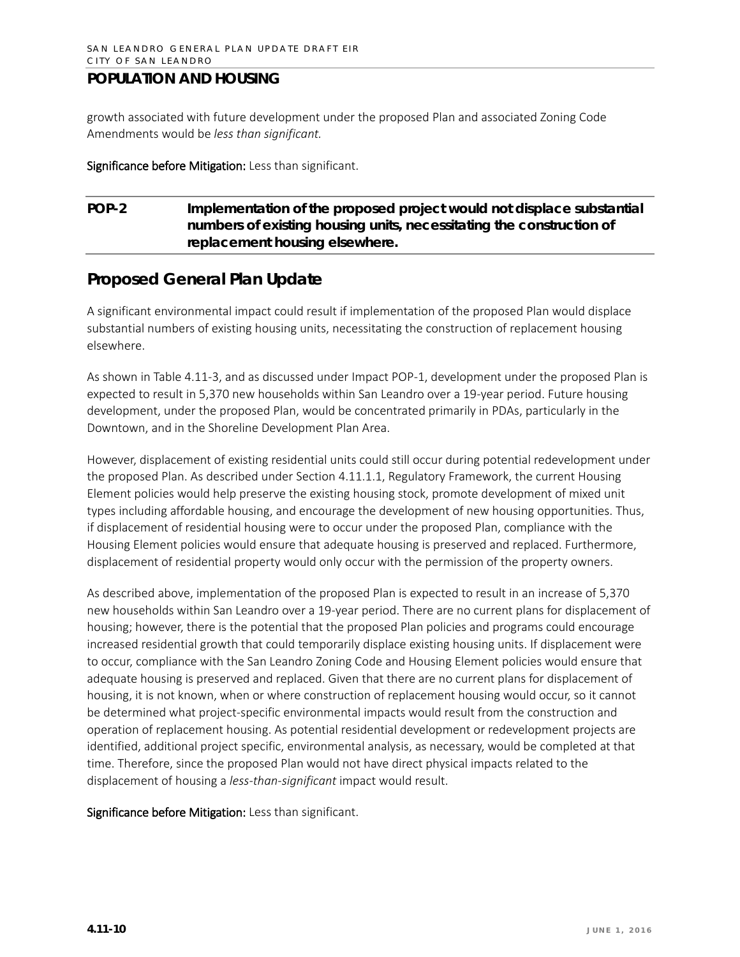growth associated with future development under the proposed Plan and associated Zoning Code Amendments would be *less than significant.*

Significance before Mitigation: Less than significant.

### **POP-2 Implementation of the proposed project would not displace substantial numbers of existing housing units, necessitating the construction of replacement housing elsewhere.**

## **Proposed General Plan Update**

A significant environmental impact could result if implementation of the proposed Plan would displace substantial numbers of existing housing units, necessitating the construction of replacement housing elsewhere.

As shown in Table 4.11-3, and as discussed under Impact POP-1, development under the proposed Plan is expected to result in 5,370 new households within San Leandro over a 19-year period. Future housing development, under the proposed Plan, would be concentrated primarily in PDAs, particularly in the Downtown, and in the Shoreline Development Plan Area.

However, displacement of existing residential units could still occur during potential redevelopment under the proposed Plan. As described under Section 4.11.1.1, Regulatory Framework, the current Housing Element policies would help preserve the existing housing stock, promote development of mixed unit types including affordable housing, and encourage the development of new housing opportunities. Thus, if displacement of residential housing were to occur under the proposed Plan, compliance with the Housing Element policies would ensure that adequate housing is preserved and replaced. Furthermore, displacement of residential property would only occur with the permission of the property owners.

As described above, implementation of the proposed Plan is expected to result in an increase of 5,370 new households within San Leandro over a 19-year period. There are no current plans for displacement of housing; however, there is the potential that the proposed Plan policies and programs could encourage increased residential growth that could temporarily displace existing housing units. If displacement were to occur, compliance with the San Leandro Zoning Code and Housing Element policies would ensure that adequate housing is preserved and replaced. Given that there are no current plans for displacement of housing, it is not known, when or where construction of replacement housing would occur, so it cannot be determined what project-specific environmental impacts would result from the construction and operation of replacement housing. As potential residential development or redevelopment projects are identified, additional project specific, environmental analysis, as necessary, would be completed at that time. Therefore, since the proposed Plan would not have direct physical impacts related to the displacement of housing a *less-than-significant* impact would result.

Significance before Mitigation: Less than significant.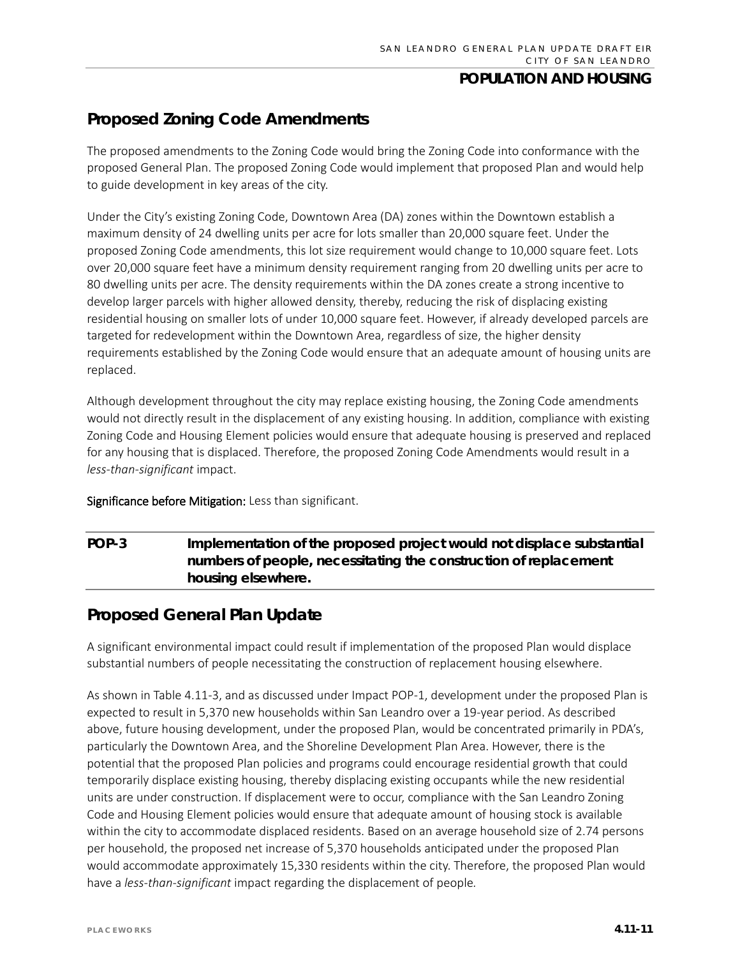# **Proposed Zoning Code Amendments**

The proposed amendments to the Zoning Code would bring the Zoning Code into conformance with the proposed General Plan. The proposed Zoning Code would implement that proposed Plan and would help to guide development in key areas of the city.

Under the City's existing Zoning Code, Downtown Area (DA) zones within the Downtown establish a maximum density of 24 dwelling units per acre for lots smaller than 20,000 square feet. Under the proposed Zoning Code amendments, this lot size requirement would change to 10,000 square feet. Lots over 20,000 square feet have a minimum density requirement ranging from 20 dwelling units per acre to 80 dwelling units per acre. The density requirements within the DA zones create a strong incentive to develop larger parcels with higher allowed density, thereby, reducing the risk of displacing existing residential housing on smaller lots of under 10,000 square feet. However, if already developed parcels are targeted for redevelopment within the Downtown Area, regardless of size, the higher density requirements established by the Zoning Code would ensure that an adequate amount of housing units are replaced.

Although development throughout the city may replace existing housing, the Zoning Code amendments would not directly result in the displacement of any existing housing. In addition, compliance with existing Zoning Code and Housing Element policies would ensure that adequate housing is preserved and replaced for any housing that is displaced. Therefore, the proposed Zoning Code Amendments would result in a *less-than-significant* impact.

### Significance before Mitigation: Less than significant.

# **POP-3 Implementation of the proposed project would not displace substantial numbers of people, necessitating the construction of replacement housing elsewhere.**

## **Proposed General Plan Update**

A significant environmental impact could result if implementation of the proposed Plan would displace substantial numbers of people necessitating the construction of replacement housing elsewhere.

As shown in Table 4.11-3, and as discussed under Impact POP-1, development under the proposed Plan is expected to result in 5,370 new households within San Leandro over a 19-year period. As described above, future housing development, under the proposed Plan, would be concentrated primarily in PDA's, particularly the Downtown Area, and the Shoreline Development Plan Area. However, there is the potential that the proposed Plan policies and programs could encourage residential growth that could temporarily displace existing housing, thereby displacing existing occupants while the new residential units are under construction. If displacement were to occur, compliance with the San Leandro Zoning Code and Housing Element policies would ensure that adequate amount of housing stock is available within the city to accommodate displaced residents. Based on an average household size of 2.74 persons per household, the proposed net increase of 5,370 households anticipated under the proposed Plan would accommodate approximately 15,330 residents within the city. Therefore, the proposed Plan would have a *less-than-significant* impact regarding the displacement of people*.*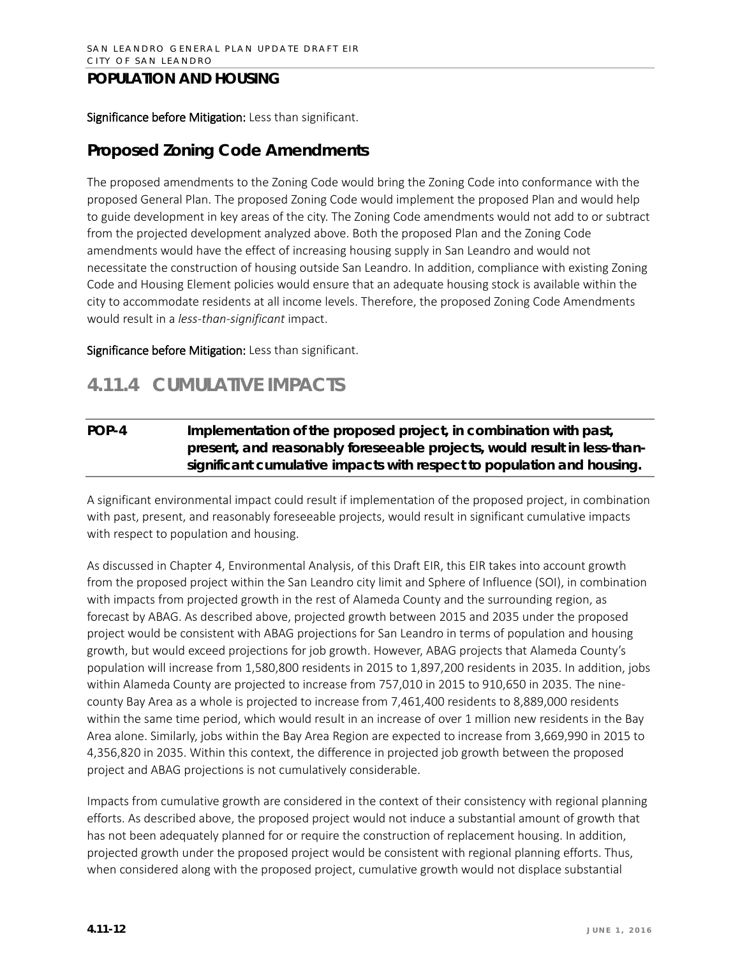### Significance before Mitigation: Less than significant.

### **Proposed Zoning Code Amendments**

The proposed amendments to the Zoning Code would bring the Zoning Code into conformance with the proposed General Plan. The proposed Zoning Code would implement the proposed Plan and would help to guide development in key areas of the city. The Zoning Code amendments would not add to or subtract from the projected development analyzed above. Both the proposed Plan and the Zoning Code amendments would have the effect of increasing housing supply in San Leandro and would not necessitate the construction of housing outside San Leandro. In addition, compliance with existing Zoning Code and Housing Element policies would ensure that an adequate housing stock is available within the city to accommodate residents at all income levels. Therefore, the proposed Zoning Code Amendments would result in a *less-than-significant* impact.

Significance before Mitigation: Less than significant.

# **4.11.4 CUMULATIVE IMPACTS**

### **POP-4 Implementation of the proposed project, in combination with past, present, and reasonably foreseeable projects, would result in less-thansignificant cumulative impacts with respect to population and housing.**

A significant environmental impact could result if implementation of the proposed project, in combination with past, present, and reasonably foreseeable projects, would result in significant cumulative impacts with respect to population and housing.

As discussed in Chapter 4, Environmental Analysis, of this Draft EIR, this EIR takes into account growth from the proposed project within the San Leandro city limit and Sphere of Influence (SOI), in combination with impacts from projected growth in the rest of Alameda County and the surrounding region, as forecast by ABAG. As described above, projected growth between 2015 and 2035 under the proposed project would be consistent with ABAG projections for San Leandro in terms of population and housing growth, but would exceed projections for job growth. However, ABAG projects that Alameda County's population will increase from 1,580,800 residents in 2015 to 1,897,200 residents in 2035. In addition, jobs within Alameda County are projected to increase from 757,010 in 2015 to 910,650 in 2035. The ninecounty Bay Area as a whole is projected to increase from 7,461,400 residents to 8,889,000 residents within the same time period, which would result in an increase of over 1 million new residents in the Bay Area alone. Similarly, jobs within the Bay Area Region are expected to increase from 3,669,990 in 2015 to 4,356,820 in 2035. Within this context, the difference in projected job growth between the proposed project and ABAG projections is not cumulatively considerable.

Impacts from cumulative growth are considered in the context of their consistency with regional planning efforts. As described above, the proposed project would not induce a substantial amount of growth that has not been adequately planned for or require the construction of replacement housing. In addition, projected growth under the proposed project would be consistent with regional planning efforts. Thus, when considered along with the proposed project, cumulative growth would not displace substantial